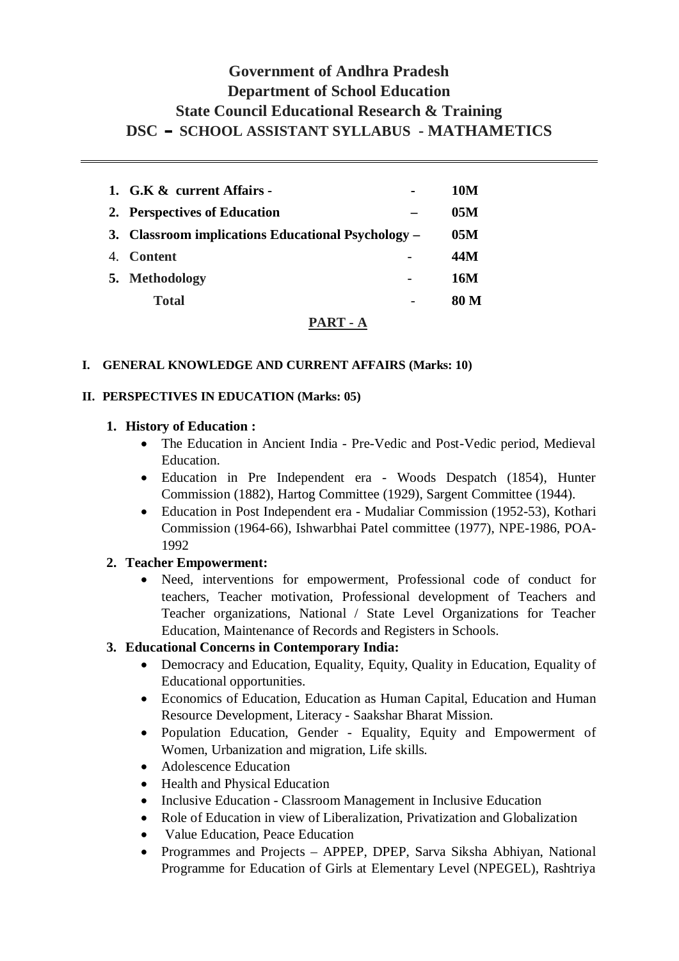# **Government of Andhra Pradesh Department of School Education State Council Educational Research & Training DSCCSCHOOL ASSISTANT SYLLABUS - MATHAMETICS**

|                | 1. G.K & current Affairs -                         | 10M  |
|----------------|----------------------------------------------------|------|
|                | 2. Perspectives of Education                       | 05M  |
|                | 3. Classroom implications Educational Psychology – | 05M  |
| 4 <sup>1</sup> | <b>Content</b>                                     | 44M  |
|                | 5. Methodology                                     | 16M  |
|                | <b>Total</b>                                       | 80 M |
|                |                                                    |      |

# **PART - A**

#### **I. GENERAL KNOWLEDGE AND CURRENT AFFAIRS (Marks: 10)**

#### **II. PERSPECTIVES IN EDUCATION (Marks: 05)**

#### **1. History of Education :**

- The Education in Ancient India Pre-Vedic and Post-Vedic period, Medieval Education.
- Education in Pre Independent era Woods Despatch (1854), Hunter Commission (1882), Hartog Committee (1929), Sargent Committee (1944).
- Education in Post Independent era Mudaliar Commission (1952-53), Kothari Commission (1964-66), Ishwarbhai Patel committee (1977), NPE-1986, POA-1992

## **2. Teacher Empowerment:**

• Need, interventions for empowerment, Professional code of conduct for teachers, Teacher motivation, Professional development of Teachers and Teacher organizations, National / State Level Organizations for Teacher Education, Maintenance of Records and Registers in Schools.

## **3. Educational Concerns in Contemporary India:**

- Democracy and Education, Equality, Equity, Quality in Education, Equality of Educational opportunities.
- Economics of Education, Education as Human Capital, Education and Human Resource Development, Literacy - Saakshar Bharat Mission.
- Population Education, Gender Equality, Equity and Empowerment of Women, Urbanization and migration, Life skills.
- Adolescence Education
- $\bullet$  Health and Physical Education
- Inclusive Education Classroom Management in Inclusive Education
- Role of Education in view of Liberalization, Privatization and Globalization
- Value Education, Peace Education
- Programmes and Projects APPEP, DPEP, Sarva Siksha Abhiyan, National Programme for Education of Girls at Elementary Level (NPEGEL), Rashtriya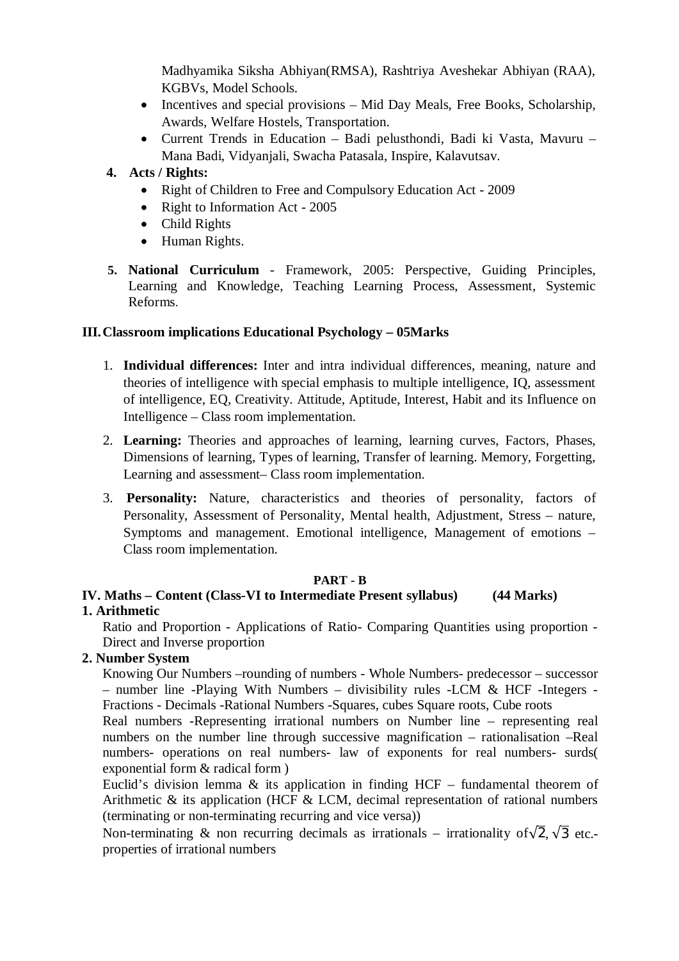Madhyamika Siksha Abhiyan(RMSA), Rashtriya Aveshekar Abhiyan (RAA), KGBVs, Model Schools.

- Incentives and special provisions Mid Day Meals, Free Books, Scholarship, Awards, Welfare Hostels, Transportation.
- x Current Trends in Education Badi pelusthondi, Badi ki Vasta, Mavuru Mana Badi, Vidyanjali, Swacha Patasala, Inspire, Kalavutsav.
- **4. Acts / Rights:** 
	- Right of Children to Free and Compulsory Education Act 2009
	- Right to Information Act  $2005$
	- $\bullet$  Child Rights
	- Human Rights.
- **5. National Curriculum** Framework, 2005: Perspective, Guiding Principles, Learning and Knowledge, Teaching Learning Process, Assessment, Systemic Reforms.

#### **III.Classroom implications Educational Psychology – 05Marks**

- 1. **Individual differences:** Inter and intra individual differences, meaning, nature and theories of intelligence with special emphasis to multiple intelligence, IQ, assessment of intelligence, EQ, Creativity. Attitude, Aptitude, Interest, Habit and its Influence on Intelligence – Class room implementation.
- 2. **Learning:** Theories and approaches of learning, learning curves, Factors, Phases, Dimensions of learning, Types of learning, Transfer of learning. Memory, Forgetting, Learning and assessment– Class room implementation.
- 3. **Personality:** Nature, characteristics and theories of personality, factors of Personality, Assessment of Personality, Mental health, Adjustment, Stress – nature, Symptoms and management. Emotional intelligence, Management of emotions – Class room implementation.

#### **PART - B**

#### **IV. Maths – Content (Class-VI to Intermediate Present syllabus) (44 Marks) 1. Arithmetic**

Ratio and Proportion - Applications of Ratio- Comparing Quantities using proportion - Direct and Inverse proportion

## **2. Number System**

Knowing Our Numbers –rounding of numbers - Whole Numbers- predecessor – successor – number line -Playing With Numbers – divisibility rules -LCM & HCF -Integers - Fractions - Decimals -Rational Numbers -Squares, cubes Square roots, Cube roots

Real numbers -Representing irrational numbers on Number line – representing real numbers on the number line through successive magnification – rationalisation –Real numbers- operations on real numbers- law of exponents for real numbers- surds( exponential form & radical form )

Euclid's division lemma  $\&$  its application in finding HCF – fundamental theorem of Arithmetic & its application (HCF & LCM, decimal representation of rational numbers (terminating or non-terminating recurring and vice versa))

Non-terminating & non recurring decimals as irrationals – irrationality of  $\sqrt{2}$ ,  $\sqrt{3}$  etc.properties of irrational numbers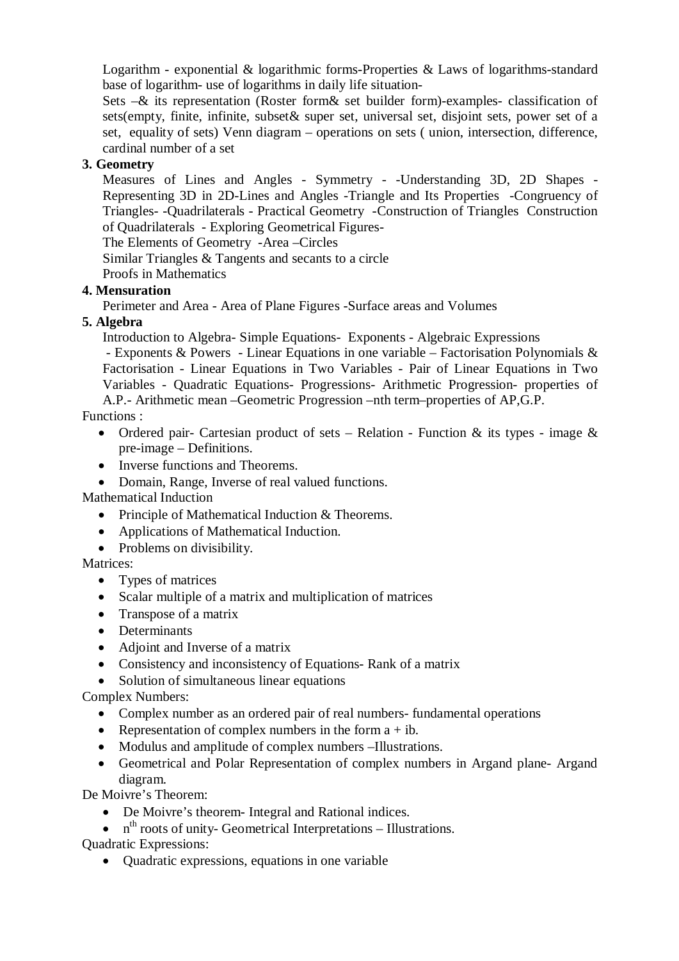Logarithm - exponential & logarithmic forms-Properties & Laws of logarithms-standard base of logarithm- use of logarithms in daily life situation-

Sets –& its representation (Roster form& set builder form)-examples- classification of sets(empty, finite, infinite, subset& super set, universal set, disjoint sets, power set of a set, equality of sets) Venn diagram – operations on sets ( union, intersection, difference, cardinal number of a set

# **3. Geometry**

Measures of Lines and Angles - Symmetry - -Understanding 3D, 2D Shapes - Representing 3D in 2D-Lines and Angles -Triangle and Its Properties -Congruency of Triangles- -Quadrilaterals - Practical Geometry -Construction of Triangles Construction of Quadrilaterals - Exploring Geometrical Figures-

The Elements of Geometry -Area –Circles

Similar Triangles & Tangents and secants to a circle

Proofs in Mathematics

## **4. Mensuration**

Perimeter and Area - Area of Plane Figures -Surface areas and Volumes

## **5. Algebra**

Introduction to Algebra- Simple Equations- Exponents - Algebraic Expressions

- Exponents & Powers - Linear Equations in one variable – Factorisation Polynomials & Factorisation - Linear Equations in Two Variables - Pair of Linear Equations in Two Variables - Quadratic Equations- Progressions- Arithmetic Progression- properties of A.P.- Arithmetic mean –Geometric Progression –nth term–properties of AP,G.P.

Functions :

- Ordered pair- Cartesian product of sets Relation Function & its types image  $\&$ pre-image – Definitions.
- Inverse functions and Theorems.
- Domain, Range, Inverse of real valued functions.

Mathematical Induction

- Principle of Mathematical Induction  $&$  Theorems.
- Applications of Mathematical Induction.
- $\bullet$  Problems on divisibility.

Matrices:

- $\bullet$  Types of matrices
- $\bullet$  Scalar multiple of a matrix and multiplication of matrices
- $\bullet$  Transpose of a matrix
- Determinants
- Adjoint and Inverse of a matrix
- Consistency and inconsistency of Equations- Rank of a matrix
- $\bullet$  Solution of simultaneous linear equations

Complex Numbers:

- Complex number as an ordered pair of real numbers- fundamental operations
- Representation of complex numbers in the form  $a + ib$ .
- Modulus and amplitude of complex numbers –Illustrations.
- Geometrical and Polar Representation of complex numbers in Argand plane- Argand diagram.

De Moivre's Theorem:

- De Moivre's theorem- Integral and Rational indices.
- $\bullet$  n<sup>th</sup> roots of unity-Geometrical Interpretations Illustrations.

Quadratic Expressions:

 $\bullet$  Quadratic expressions, equations in one variable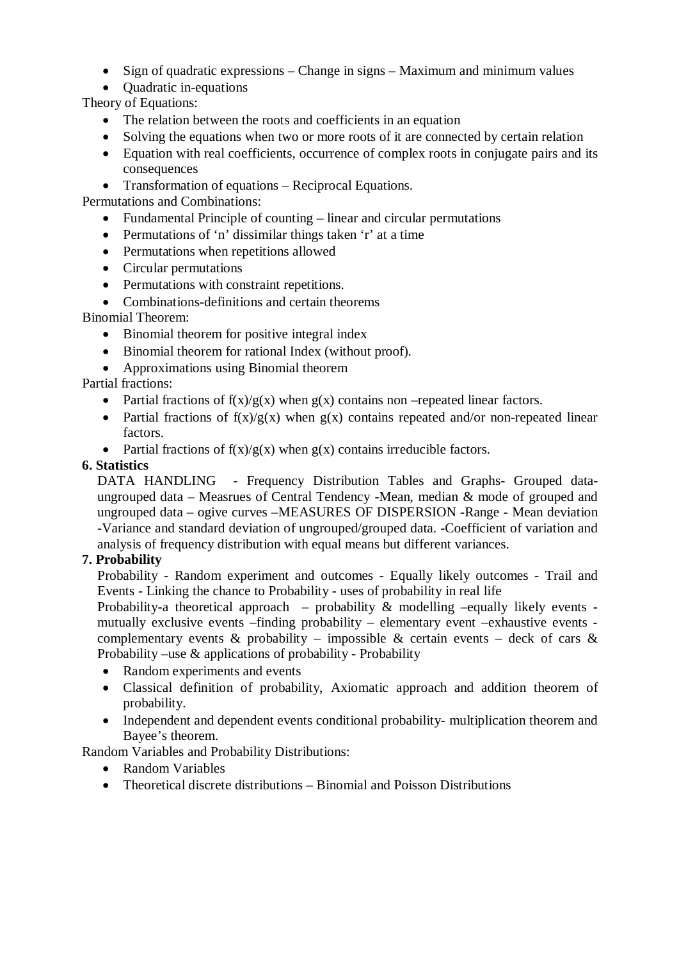- Sign of quadratic expressions Change in signs Maximum and minimum values
- $\bullet$  Ouadratic in-equations

Theory of Equations:

- $\bullet$  The relation between the roots and coefficients in an equation
- Solving the equations when two or more roots of it are connected by certain relation
- Equation with real coefficients, occurrence of complex roots in conjugate pairs and its consequences
- Transformation of equations Reciprocal Equations.

Permutations and Combinations:

- $\bullet$  Fundamental Principle of counting linear and circular permutations
- $\bullet$  Permutations of 'n' dissimilar things taken 'r' at a time
- $\bullet$  Permutations when repetitions allowed
- $\bullet$  Circular permutations
- Permutations with constraint repetitions.
- Combinations-definitions and certain theorems

Binomial Theorem:

- Binomial theorem for positive integral index
- Binomial theorem for rational Index (without proof).
- $\bullet$  Approximations using Binomial theorem

# Partial fractions:

- Partial fractions of  $f(x)/g(x)$  when  $g(x)$  contains non –repeated linear factors.
- Partial fractions of  $f(x)/g(x)$  when  $g(x)$  contains repeated and/or non-repeated linear factors.
- Partial fractions of  $f(x)/g(x)$  when  $g(x)$  contains irreducible factors.

## **6. Statistics**

 DATA HANDLING - Frequency Distribution Tables and Graphs- Grouped dataungrouped data – Measrues of Central Tendency -Mean, median & mode of grouped and ungrouped data – ogive curves –MEASURES OF DISPERSION -Range - Mean deviation -Variance and standard deviation of ungrouped/grouped data. -Coefficient of variation and analysis of frequency distribution with equal means but different variances.

# **7. Probability**

Probability - Random experiment and outcomes - Equally likely outcomes - Trail and Events - Linking the chance to Probability - uses of probability in real life

Probability-a theoretical approach – probability  $\&$  modelling –equally likely events mutually exclusive events –finding probability – elementary event –exhaustive events complementary events  $\&$  probability – impossible  $\&$  certain events – deck of cars  $\&$ Probability –use & applications of probability - Probability

- Random experiments and events
- Classical definition of probability, Axiomatic approach and addition theorem of probability.
- Independent and dependent events conditional probability- multiplication theorem and Bayee's theorem.

Random Variables and Probability Distributions:

- Random Variables
- $\bullet$  Theoretical discrete distributions Binomial and Poisson Distributions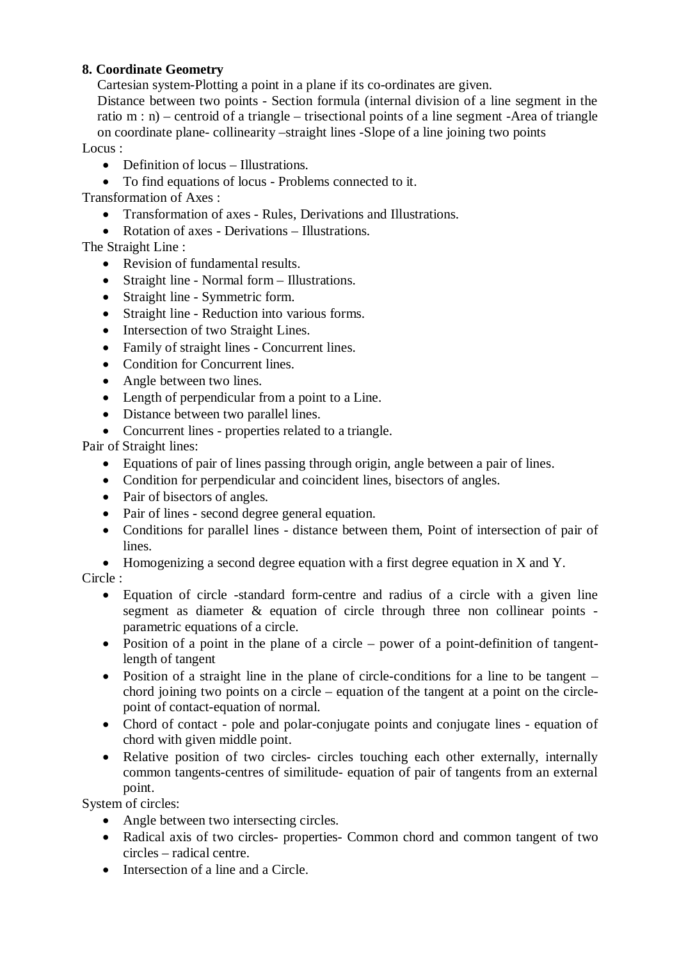## **8. Coordinate Geometry**

Cartesian system-Plotting a point in a plane if its co-ordinates are given.

Distance between two points - Section formula (internal division of a line segment in the ratio m : n) – centroid of a triangle – trisectional points of a line segment -Area of triangle on coordinate plane- collinearity –straight lines -Slope of a line joining two points

Locus ·

- $\bullet$  Definition of locus Illustrations.
- To find equations of locus Problems connected to it.

Transformation of Axes :

- Transformation of axes Rules, Derivations and Illustrations.
- Rotation of axes Derivations Illustrations.

The Straight Line :

- Revision of fundamental results.
- Straight line Normal form Illustrations.
- Straight line Symmetric form.
- Straight line Reduction into various forms.
- Intersection of two Straight Lines.
- Family of straight lines Concurrent lines.
- Condition for Concurrent lines.
- Angle between two lines.
- Length of perpendicular from a point to a Line.
- Distance between two parallel lines.
- Concurrent lines properties related to a triangle.

Pair of Straight lines:

- Equations of pair of lines passing through origin, angle between a pair of lines.
- Condition for perpendicular and coincident lines, bisectors of angles.
- $\bullet$  Pair of bisectors of angles.
- Pair of lines second degree general equation.
- Conditions for parallel lines distance between them, Point of intersection of pair of lines.
- $\bullet$  Homogenizing a second degree equation with a first degree equation in X and Y.

## Circle :

- Equation of circle -standard form-centre and radius of a circle with a given line segment as diameter & equation of circle through three non collinear points parametric equations of a circle.
- Position of a point in the plane of a circle power of a point-definition of tangentlength of tangent
- Position of a straight line in the plane of circle-conditions for a line to be tangent chord joining two points on a circle – equation of the tangent at a point on the circlepoint of contact-equation of normal.
- Chord of contact pole and polar-conjugate points and conjugate lines equation of chord with given middle point.
- Relative position of two circles- circles touching each other externally, internally common tangents-centres of similitude- equation of pair of tangents from an external point.

System of circles:

- Angle between two intersecting circles.
- Radical axis of two circles- properties- Common chord and common tangent of two circles – radical centre.
- $\bullet$  Intersection of a line and a Circle.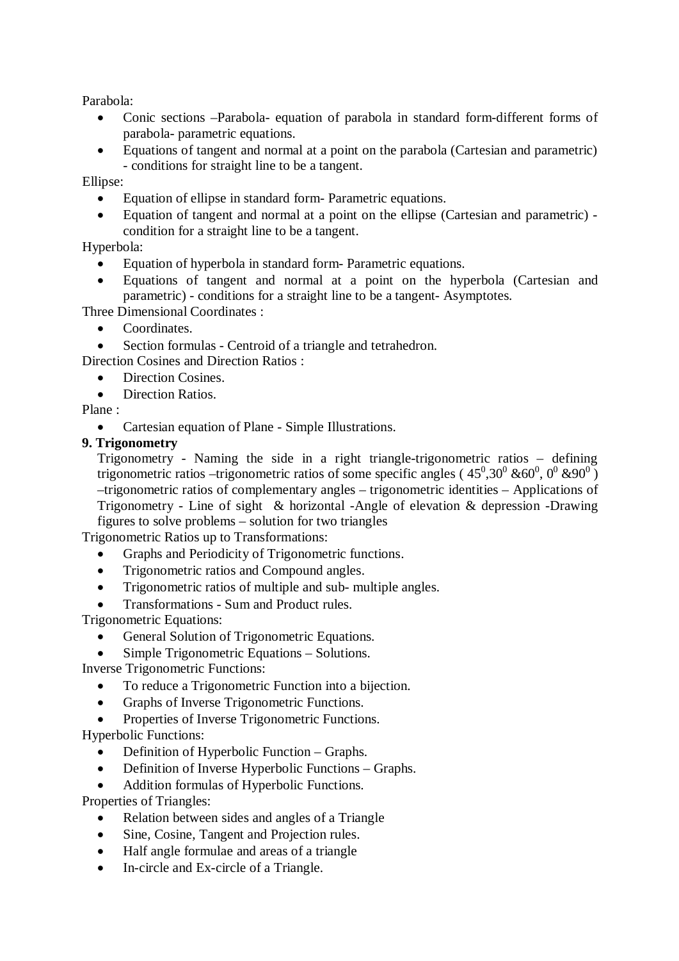Parabola:

- Conic sections –Parabola- equation of parabola in standard form-different forms of parabola- parametric equations.
- Equations of tangent and normal at a point on the parabola (Cartesian and parametric) - conditions for straight line to be a tangent.

Ellipse:

- Equation of ellipse in standard form-Parametric equations.
- Equation of tangent and normal at a point on the ellipse (Cartesian and parametric) condition for a straight line to be a tangent.

Hyperbola:

- Equation of hyperbola in standard form- Parametric equations.
- x Equations of tangent and normal at a point on the hyperbola (Cartesian and parametric) - conditions for a straight line to be a tangent- Asymptotes.

Three Dimensional Coordinates :

- Coordinates.
- Section formulas Centroid of a triangle and tetrahedron.

Direction Cosines and Direction Ratios :

- Direction Cosines.
- Direction Ratios.

Plane :

Cartesian equation of Plane - Simple Illustrations.

## **9. Trigonometry**

Trigonometry - Naming the side in a right triangle-trigonometric ratios – defining trigonometric ratios –trigonometric ratios of some specific angles ( $45^{\circ},30^{\circ}$  &60<sup>°</sup>, 0<sup>°</sup> &90<sup>°</sup>) –trigonometric ratios of complementary angles – trigonometric identities – Applications of Trigonometry - Line of sight & horizontal -Angle of elevation & depression -Drawing figures to solve problems – solution for two triangles

Trigonometric Ratios up to Transformations:

- Graphs and Periodicity of Trigonometric functions.
- Trigonometric ratios and Compound angles.
- Trigonometric ratios of multiple and sub- multiple angles.
- x Transformations Sum and Product rules.

Trigonometric Equations:

- General Solution of Trigonometric Equations.
- Simple Trigonometric Equations Solutions.

Inverse Trigonometric Functions:

- To reduce a Trigonometric Function into a bijection.
- Graphs of Inverse Trigonometric Functions.
- Properties of Inverse Trigonometric Functions.

Hyperbolic Functions:

- Definition of Hyperbolic Function Graphs.
- Definition of Inverse Hyperbolic Functions Graphs.
- Addition formulas of Hyperbolic Functions.

Properties of Triangles:

- Relation between sides and angles of a Triangle
- Sine, Cosine, Tangent and Projection rules.
- Half angle formulae and areas of a triangle
- In-circle and Ex-circle of a Triangle.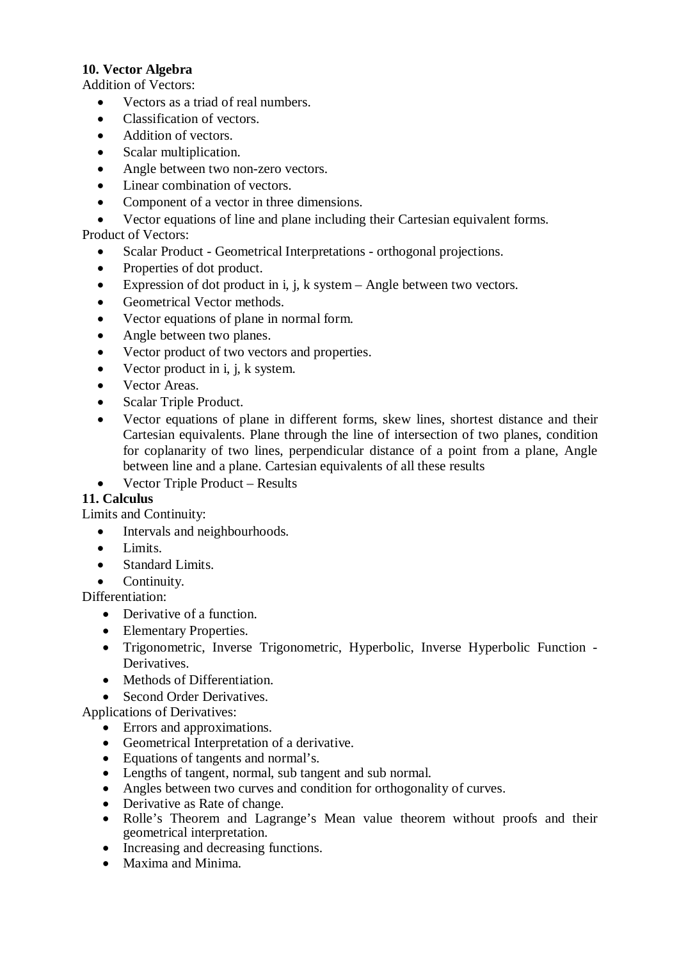## **10. Vector Algebra**

Addition of Vectors:

- x Vectors as a triad of real numbers.
- Classification of vectors.
- Addition of vectors.
- Scalar multiplication.
- Angle between two non-zero vectors.
- Linear combination of vectors.
- Component of a vector in three dimensions.
- x Vector equations of line and plane including their Cartesian equivalent forms.

Product of Vectors:

- Scalar Product Geometrical Interpretations orthogonal projections.
- Properties of dot product.
- Expression of dot product in i, j, k system Angle between two vectors.
- Geometrical Vector methods.
- x Vector equations of plane in normal form.
- Angle between two planes.
- Vector product of two vectors and properties.
- Vector product in i, j, k system.
- Vector Areas.
- Scalar Triple Product.
- x Vector equations of plane in different forms, skew lines, shortest distance and their Cartesian equivalents. Plane through the line of intersection of two planes, condition for coplanarity of two lines, perpendicular distance of a point from a plane, Angle between line and a plane. Cartesian equivalents of all these results
- x Vector Triple Product Results

# **11. Calculus**

Limits and Continuity:

- Intervals and neighbourhoods.
- $\bullet$  Limits.
- Standard Limits.
- Continuity.

Differentiation:

- $\bullet$  Derivative of a function.
- Elementary Properties.
- Trigonometric, Inverse Trigonometric, Hyperbolic, Inverse Hyperbolic Function -**Derivatives**
- Methods of Differentiation.
- Second Order Derivatives.

Applications of Derivatives:

- Errors and approximations.
- Geometrical Interpretation of a derivative.
- Equations of tangents and normal's.
- Lengths of tangent, normal, sub tangent and sub normal.
- Angles between two curves and condition for orthogonality of curves.
- Derivative as Rate of change.
- Rolle's Theorem and Lagrange's Mean value theorem without proofs and their geometrical interpretation.
- Increasing and decreasing functions.
- Maxima and Minima.